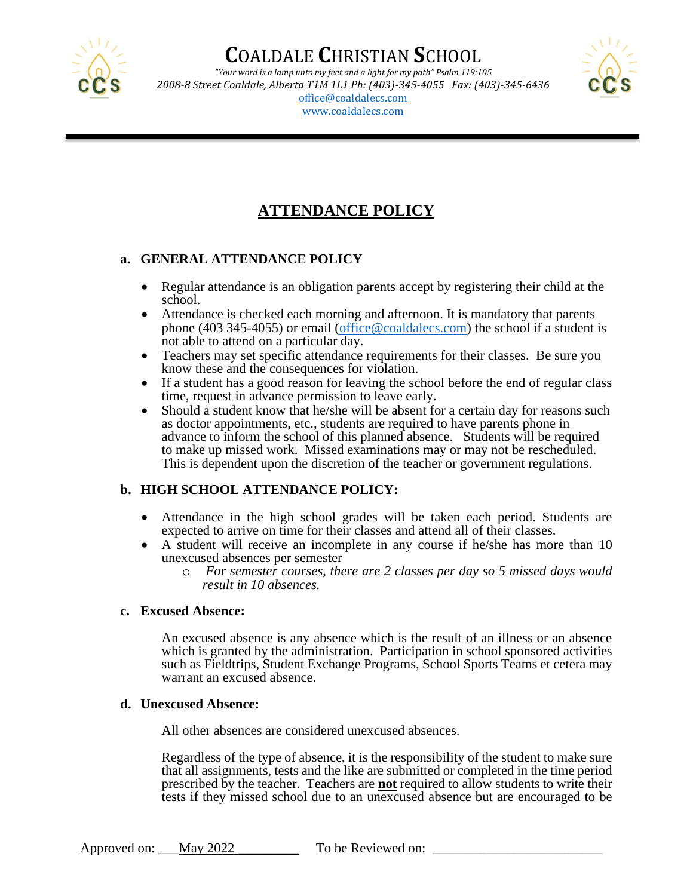

# **C**OALDALE **C**HRISTIAN **S**CHOOL

*"Your word is a lamp unto my feet and a light for my path" Psalm 119:105 2008-8 Street Coaldale, Alberta T1M 1L1 Ph: (403)-345-4055 Fax: (403)-345-6436* [office@coaldalecs.com](mailto:office@coaldalecs.com) [www.coaldalecs.com](http://www.coaldalechristianschool.com/)



### **ATTENDANCE POLICY**

#### **a. GENERAL ATTENDANCE POLICY**

- Regular attendance is an obligation parents accept by registering their child at the school.
- Attendance is checked each morning and afternoon. It is mandatory that parents phone (403 345-4055) or email [\(office@coaldalecs.com\)](mailto:office@coaldalecs.com) the school if a student is not able to attend on a particular day.
- Teachers may set specific attendance requirements for their classes. Be sure you know these and the consequences for violation.
- If a student has a good reason for leaving the school before the end of regular class time, request in advance permission to leave early.
- Should a student know that he/she will be absent for a certain day for reasons such as doctor appointments, etc., students are required to have parents phone in advance to inform the school of this planned absence. Students will be required to make up missed work. Missed examinations may or may not be rescheduled. This is dependent upon the discretion of the teacher or government regulations.

### **b. HIGH SCHOOL ATTENDANCE POLICY:**

- Attendance in the high school grades will be taken each period. Students are expected to arrive on time for their classes and attend all of their classes.
- A student will receive an incomplete in any course if he/she has more than 10 unexcused absences per semester
	- o *For semester courses, there are 2 classes per day so 5 missed days would result in 10 absences.*

#### **c. Excused Absence:**

An excused absence is any absence which is the result of an illness or an absence which is granted by the administration. Participation in school sponsored activities such as Fieldtrips, Student Exchange Programs, School Sports Teams et cetera may warrant an excused absence.

#### **d. Unexcused Absence:**

All other absences are considered unexcused absences.

Regardless of the type of absence, it is the responsibility of the student to make sure that all assignments, tests and the like are submitted or completed in the time period prescribed by the teacher. Teachers are **not** required to allow students to write their tests if they missed school due to an unexcused absence but are encouraged to be